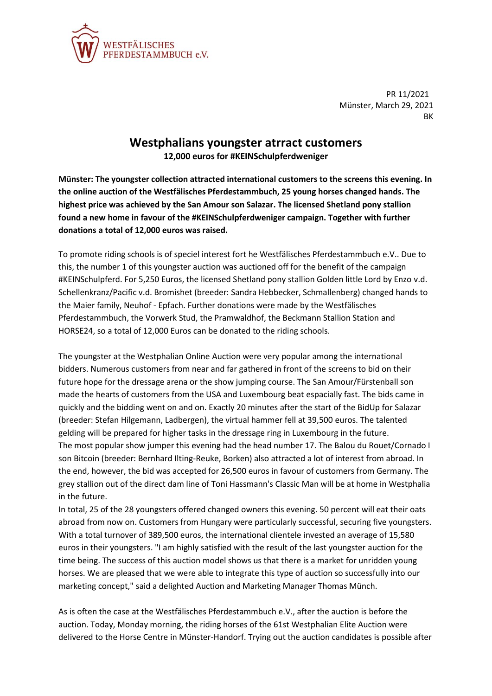

**donations a total of 12,000 euros was raised.**

PR 11/2021 Münster, March 29, 2021 BK

## **Westphalians youngster atrract customers 12,000 euros for #KEINSchulpferdweniger**

**Münster: The youngster collection attracted international customers to the screens this evening. In the online auction of the Westfälisches Pferdestammbuch, 25 young horses changed hands. The highest price was achieved by the San Amour son Salazar. The licensed Shetland pony stallion found a new home in favour of the #KEINSchulpferdweniger campaign. Together with further** 

To promote riding schools is of speciel interest fort he Westfälisches Pferdestammbuch e.V.. Due to this, the number 1 of this youngster auction was auctioned off for the benefit of the campaign #KEINSchulpferd. For 5,250 Euros, the licensed Shetland pony stallion Golden little Lord by Enzo v.d. Schellenkranz/Pacific v.d. Bromishet (breeder: Sandra Hebbecker, Schmallenberg) changed hands to the Maier family, Neuhof - Epfach. Further donations were made by the Westfälisches Pferdestammbuch, the Vorwerk Stud, the Pramwaldhof, the Beckmann Stallion Station and HORSE24, so a total of 12,000 Euros can be donated to the riding schools.

The youngster at the Westphalian Online Auction were very popular among the international bidders. Numerous customers from near and far gathered in front of the screens to bid on their future hope for the dressage arena or the show jumping course. The San Amour/Fürstenball son made the hearts of customers from the USA and Luxembourg beat espacially fast. The bids came in quickly and the bidding went on and on. Exactly 20 minutes after the start of the BidUp for Salazar (breeder: Stefan Hilgemann, Ladbergen), the virtual hammer fell at 39,500 euros. The talented gelding will be prepared for higher tasks in the dressage ring in Luxembourg in the future. The most popular show jumper this evening had the head number 17. The Balou du Rouet/Cornado I son Bitcoin (breeder: Bernhard Ilting-Reuke, Borken) also attracted a lot of interest from abroad. In the end, however, the bid was accepted for 26,500 euros in favour of customers from Germany. The grey stallion out of the direct dam line of Toni Hassmann's Classic Man will be at home in Westphalia in the future.

In total, 25 of the 28 youngsters offered changed owners this evening. 50 percent will eat their oats abroad from now on. Customers from Hungary were particularly successful, securing five youngsters. With a total turnover of 389,500 euros, the international clientele invested an average of 15,580 euros in their youngsters. "I am highly satisfied with the result of the last youngster auction for the time being. The success of this auction model shows us that there is a market for unridden young horses. We are pleased that we were able to integrate this type of auction so successfully into our marketing concept," said a delighted Auction and Marketing Manager Thomas Münch.

As is often the case at the Westfälisches Pferdestammbuch e.V., after the auction is before the auction. Today, Monday morning, the riding horses of the 61st Westphalian Elite Auction were delivered to the Horse Centre in Münster-Handorf. Trying out the auction candidates is possible after